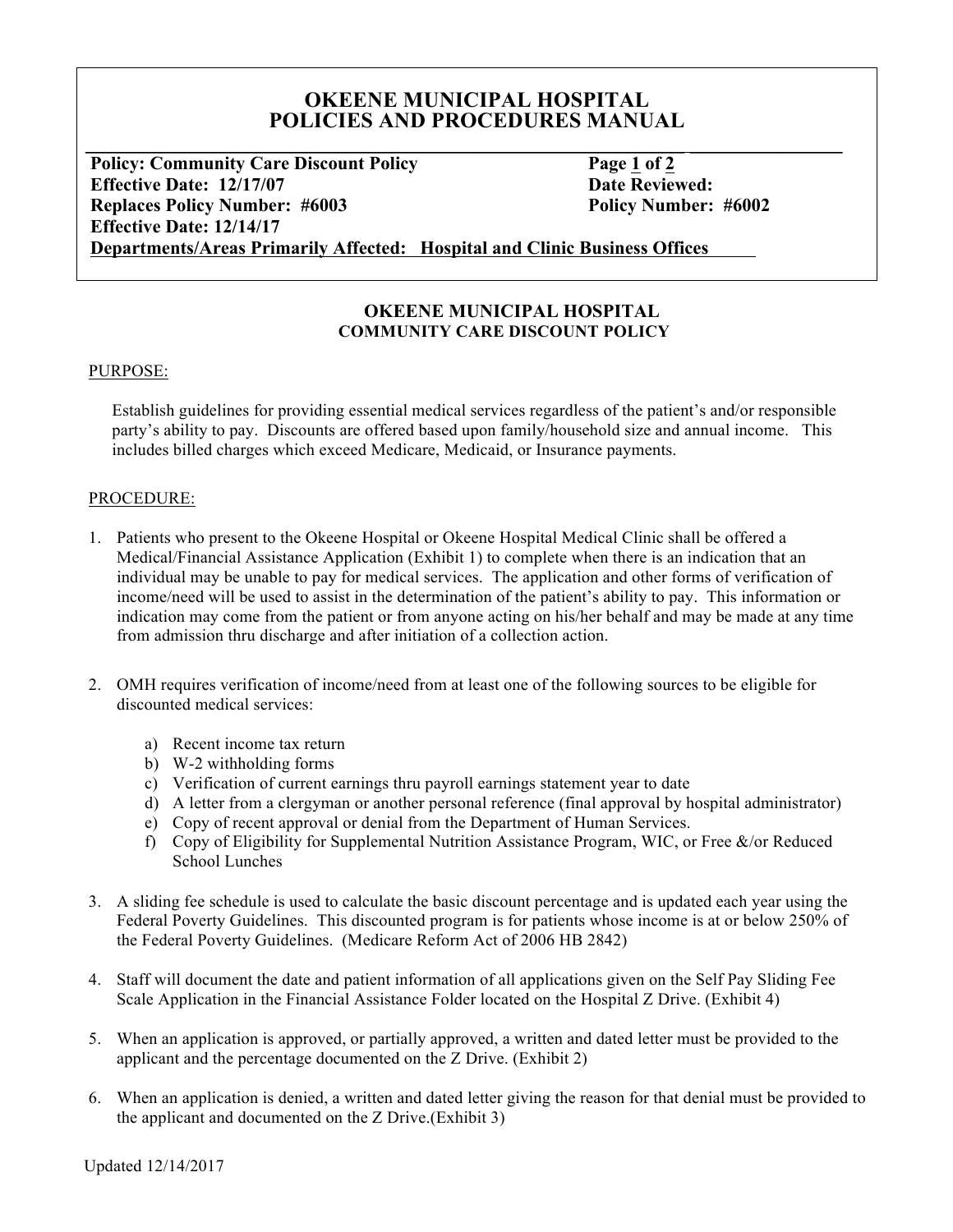# **OKEENE MUNICIPAL HOSPITAL** POLICIES AND PROCEDURES MANUAL

**Policy: Community Care Discount Policy Page 1 of 2 Effective Date: 12/17/07 Date Reviewed: Date Reviewed: Replaces Policy Number: #6003 Policy Number: #6002 Effective Date: 12/14/17**

**Departments/Areas Primarily Affected: Hospital and Clinic Business Offices**

## **OKEENE MUNICIPAL HOSPITAL COMMUNITY CARE DISCOUNT POLICY**

### PURPOSE:

Establish guidelines for providing essential medical services regardless of the patient's and/or responsible party's ability to pay. Discounts are offered based upon family/household size and annual income. This includes billed charges which exceed Medicare, Medicaid, or Insurance payments.

### PROCEDURE:

- 1. Patients who present to the Okeene Hospital or Okeene Hospital Medical Clinic shall be offered a Medical/Financial Assistance Application (Exhibit 1) to complete when there is an indication that an individual may be unable to pay for medical services. The application and other forms of verification of income/need will be used to assist in the determination of the patient's ability to pay. This information or indication may come from the patient or from anyone acting on his/her behalf and may be made at any time from admission thru discharge and after initiation of a collection action.
- 2. OMH requires verification of income/need from at least one of the following sources to be eligible for discounted medical services:
	- a) Recent income tax return
	- b) W-2 withholding forms
	- c) Verification of current earnings thru payroll earnings statement year to date
	- d) A letter from a clergyman or another personal reference (final approval by hospital administrator)
	- e) Copy of recent approval or denial from the Department of Human Services.
	- f) Copy of Eligibility for Supplemental Nutrition Assistance Program, WIC, or Free &/or Reduced School Lunches
- 3. A sliding fee schedule is used to calculate the basic discount percentage and is updated each year using the Federal Poverty Guidelines. This discounted program is for patients whose income is at or below 250% of the Federal Poverty Guidelines. (Medicare Reform Act of 2006 HB 2842)
- 4. Staff will document the date and patient information of all applications given on the Self Pay Sliding Fee Scale Application in the Financial Assistance Folder located on the Hospital Z Drive. (Exhibit 4)
- 5. When an application is approved, or partially approved, a written and dated letter must be provided to the applicant and the percentage documented on the Z Drive. (Exhibit 2)
- 6. When an application is denied, a written and dated letter giving the reason for that denial must be provided to the applicant and documented on the Z Drive.(Exhibit 3)